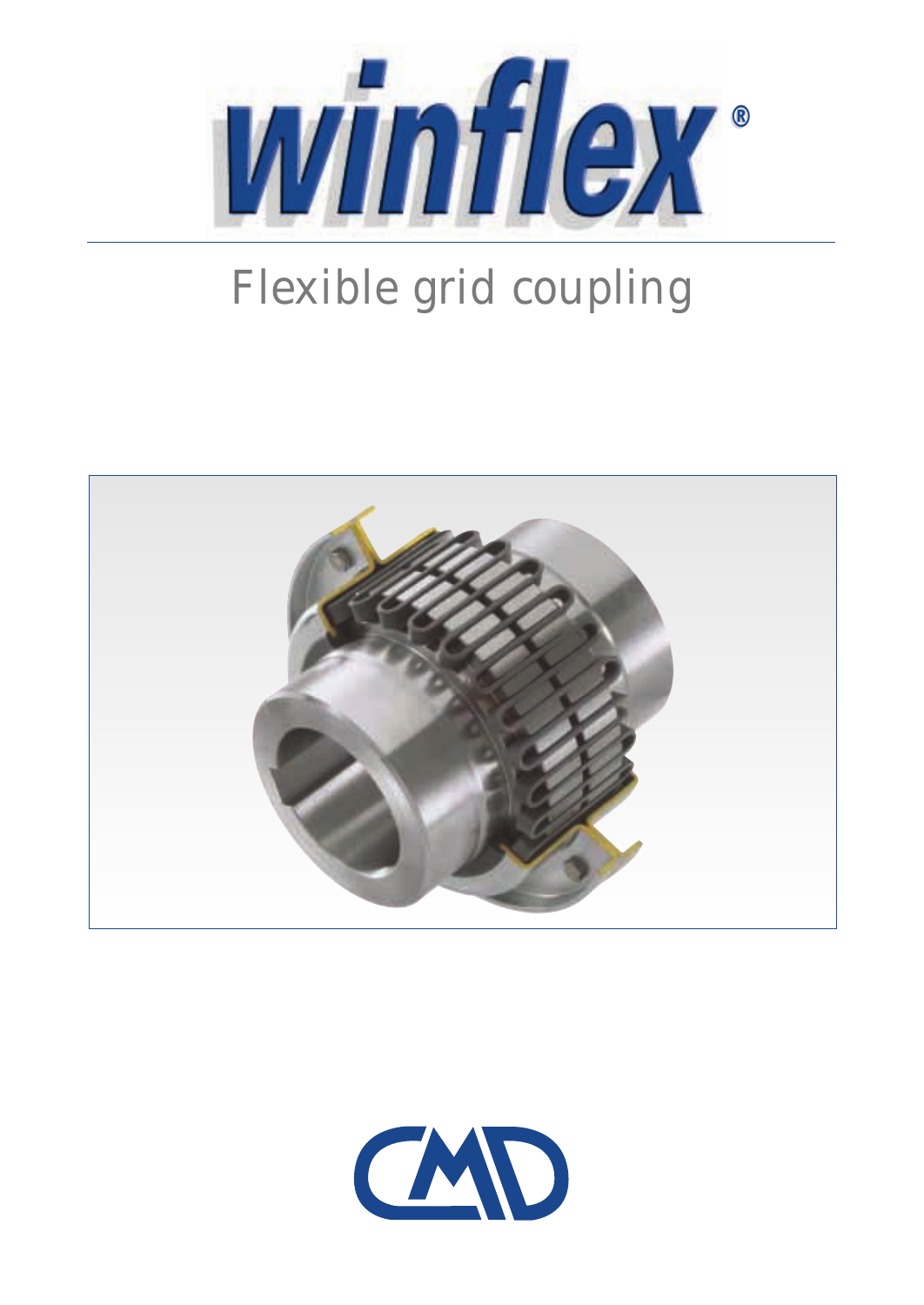

# Flexible grid coupling



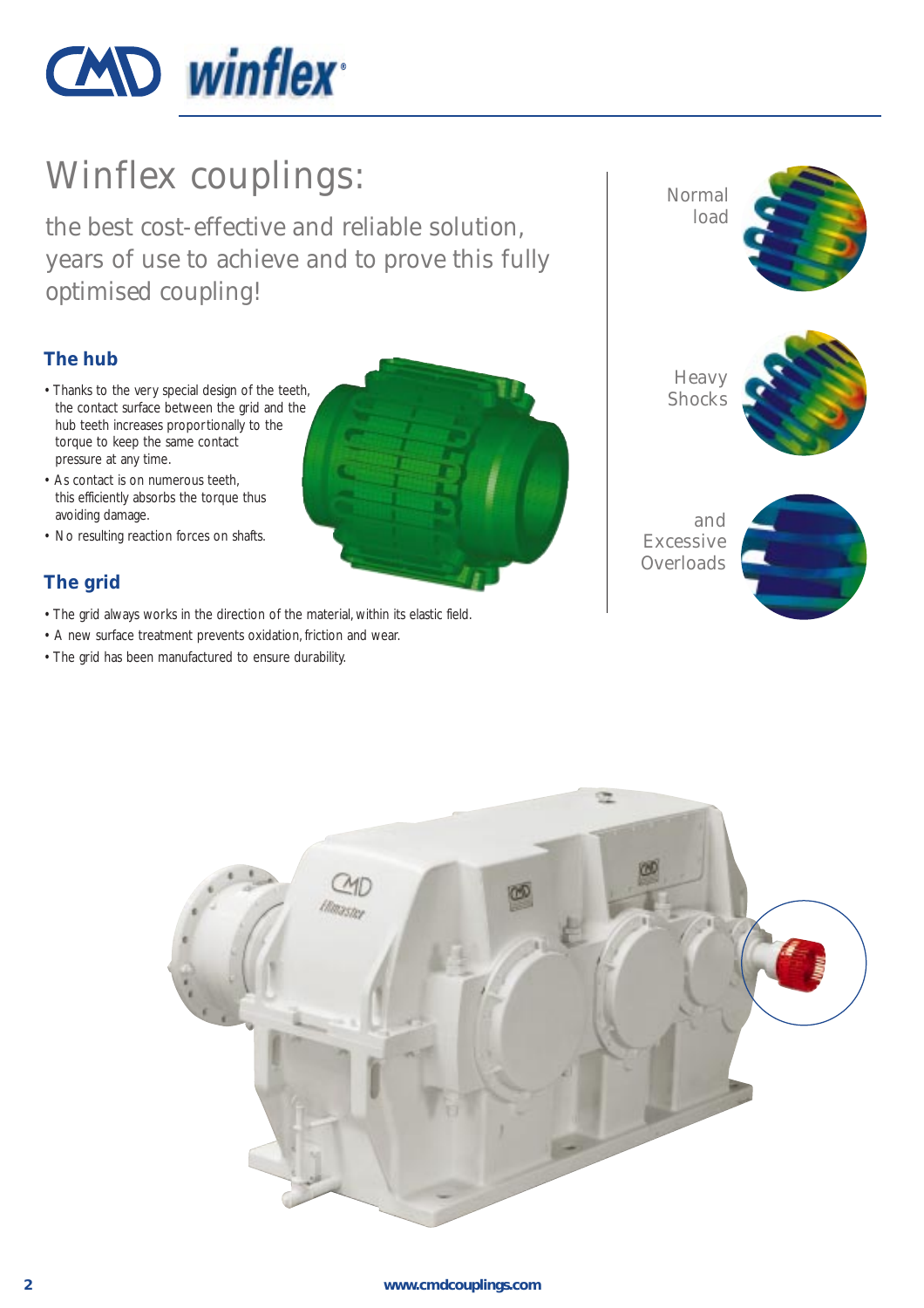

# Winflex couplings:

the best cost-effective and reliable solution, years of use to achieve and to prove this fully optimised coupling!

### **The hub**

- Thanks to the very special design of the teeth, the contact surface between the grid and the hub teeth increases proportionally to the torque to keep the same contact pressure at any time.
- As contact is on numerous teeth, this efficiently absorbs the torque thus avoiding damage.
- No resulting reaction forces on shafts.

### **The grid**

- The grid always works in the direction of the material, within its elastic field.
- A new surface treatment prevents oxidation, friction and wear.
- The grid has been manufactured to ensure durability.



Normal load

![](_page_1_Picture_13.jpeg)

**Heavy Shocks** 

![](_page_1_Picture_15.jpeg)

and Excessive **Overloads** 

![](_page_1_Picture_17.jpeg)

![](_page_1_Picture_18.jpeg)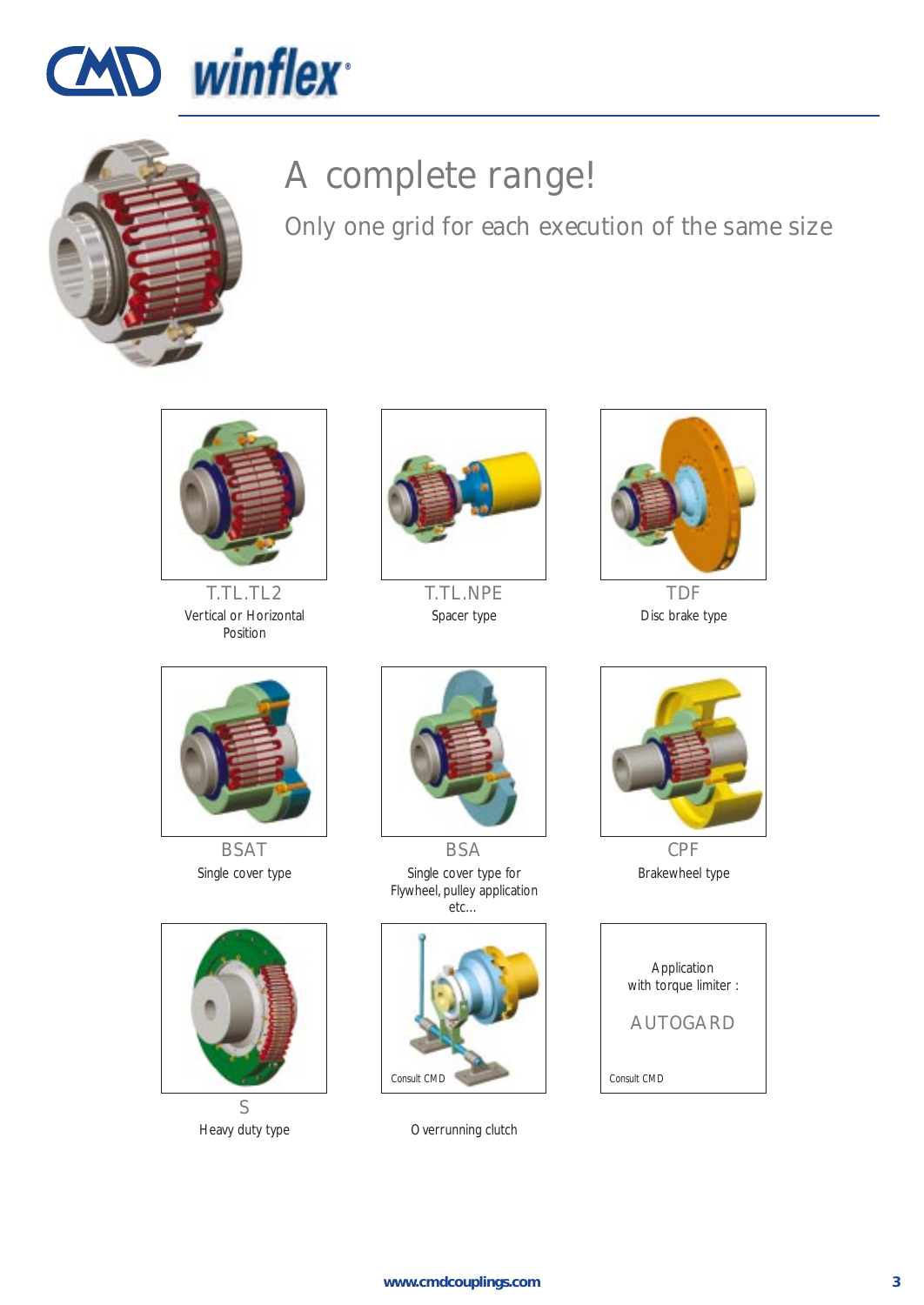![](_page_2_Picture_0.jpeg)

![](_page_2_Picture_1.jpeg)

# A complete range!

Only one grid for each execution of the same size

![](_page_2_Picture_4.jpeg)

T.TL.TL2 Vertical or Horizontal Position

![](_page_2_Picture_6.jpeg)

T.TL.NPE Spacer type

![](_page_2_Picture_8.jpeg)

TDF Disc brake type

![](_page_2_Picture_10.jpeg)

BSAT Single cover type

![](_page_2_Picture_12.jpeg)

Heavy duty type

![](_page_2_Picture_14.jpeg)

**BSA** Single cover type for Flywheel, pulley application etc…

![](_page_2_Picture_16.jpeg)

Overrunning clutch

![](_page_2_Picture_18.jpeg)

CPF Brakewheel type

![](_page_2_Picture_20.jpeg)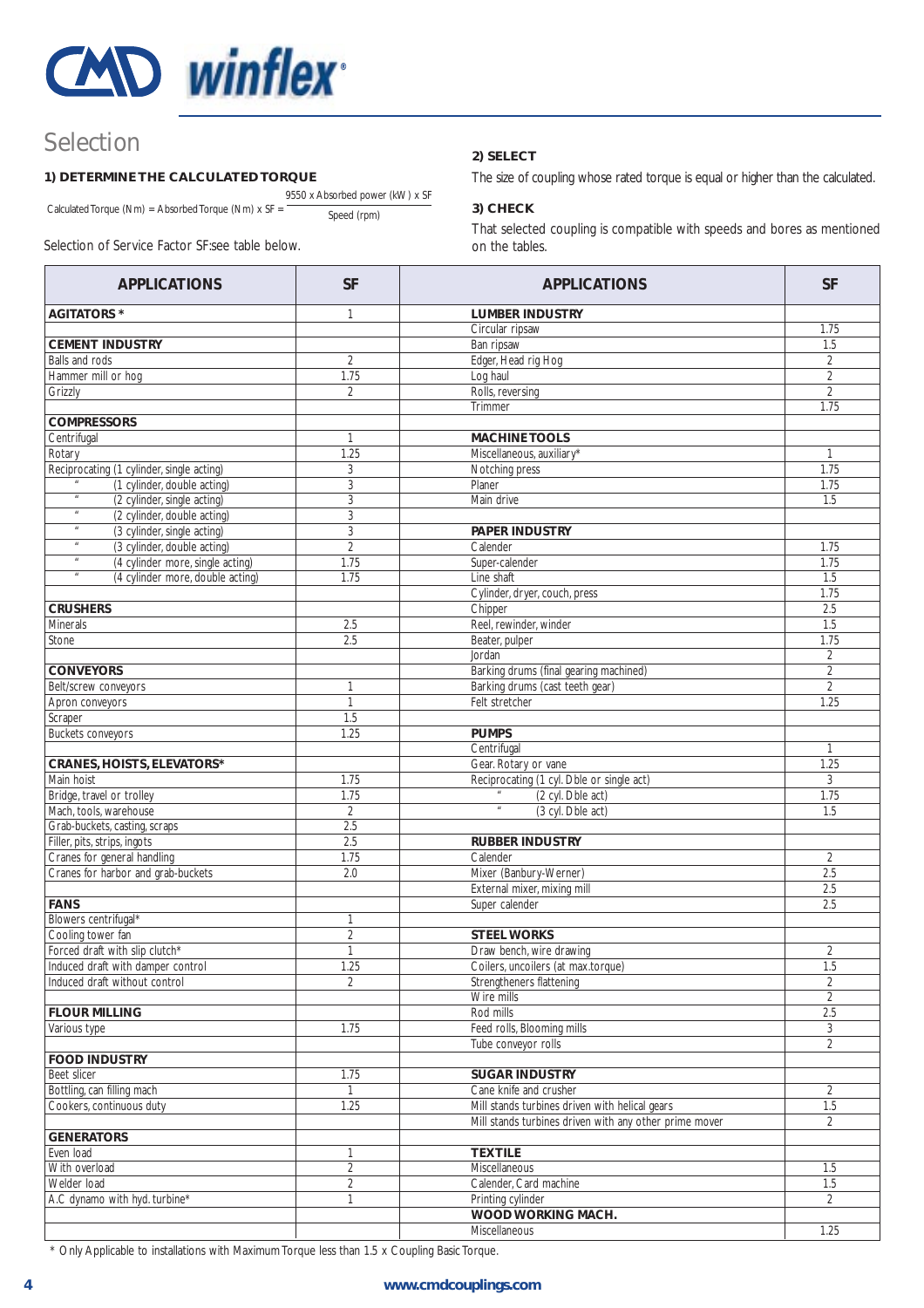![](_page_3_Picture_0.jpeg)

### Selection

#### **1) DETERMINE THE CALCULATED TORQUE**

9550 x Absorbed power (kW) x SF Calculated Torque (Nm) = Absorbed Torque (Nm)  $x S = \frac{S_{\text{S}}}{S_{\text{D}}}\frac{1}{S_{\text{D}}}\frac{1}{S_{\text{D}}}\frac{1}{S_{\text{D}}}\frac{1}{S_{\text{D}}}\frac{1}{S_{\text{D}}}\frac{1}{S_{\text{D}}}\frac{1}{S_{\text{D}}}\frac{1}{S_{\text{D}}}\frac{1}{S_{\text{D}}}\frac{1}{S_{\text{D}}}\frac{1}{S_{\text{D}}}\frac{1}{S_{\text{D}}}\frac{1}{S_{\text$ 

Selection of Service Factor SF:see table below.

#### **2) SELECT**

The size of coupling whose rated torque is equal or higher than the calculated.

#### **3) CHECK**

That selected coupling is compatible with speeds and bores as mentioned on the tables.

| <b>APPLICATIONS</b>                                                                          | <b>SF</b>      | <b>APPLICATIONS</b>                                    | <b>SF</b>        |
|----------------------------------------------------------------------------------------------|----------------|--------------------------------------------------------|------------------|
| <b>AGITATORS *</b>                                                                           | $\mathbf{1}$   | <b>LUMBER INDUSTRY</b>                                 |                  |
|                                                                                              |                | Circular ripsaw                                        | 1.75             |
| <b>CEMENT INDUSTRY</b>                                                                       |                | Ban ripsaw                                             | 1.5              |
| Balls and rods                                                                               | $\overline{2}$ | Edger, Head rig Hog                                    | $\overline{2}$   |
| Hammer mill or hog                                                                           | 1.75           | Log haul                                               | $\overline{2}$   |
| Grizzly                                                                                      | 2              | Rolls, reversing                                       | $\overline{2}$   |
|                                                                                              |                | Trimmer                                                | 1.75             |
| <b>COMPRESSORS</b>                                                                           |                |                                                        |                  |
| Centrifugal                                                                                  | $\mathbf{1}$   | <b>MACHINE TOOLS</b>                                   |                  |
| Rotary                                                                                       | 1.25           | Miscellaneous, auxiliary*                              | $\mathbf{1}$     |
| Reciprocating (1 cylinder, single acting)                                                    | 3              | Notching press                                         | 1.75             |
| (1 cylinder, double acting)<br>$\boldsymbol{\mathit{u}}$                                     | 3              | Planer                                                 | 1.75             |
| (2 cylinder, single acting)<br>$\boldsymbol{\mathit{u}}$                                     | 3              | Main drive                                             | 1.5              |
| (2 cylinder, double acting)<br>$\boldsymbol{\mathit{u}}$                                     | 3              |                                                        |                  |
| (3 cylinder, single acting)<br>$\boldsymbol{\mathit{u}}$                                     | 3              | PAPER INDUSTRY                                         |                  |
| (3 cylinder, double acting)<br>$\boldsymbol{\mathit{u}}$<br>(4 cylinder more, single acting) | $\sqrt{2}$     | Calender                                               | 1.75             |
| $\boldsymbol{\mathit{u}}$                                                                    | 1.75           | Super-calender                                         | 1.75             |
| (4 cylinder more, double acting)                                                             | 1.75           | Line shaft                                             | 1.5<br>1.75      |
| <b>CRUSHERS</b>                                                                              |                | Cylinder, dryer, couch, press<br>Chipper               | 2.5              |
| Minerals                                                                                     |                | Reel, rewinder, winder                                 | 1.5              |
|                                                                                              | 2.5<br>2.5     | Beater, pulper                                         | 1.75             |
| Stone                                                                                        |                | Jordan                                                 | $\overline{2}$   |
| <b>CONVEYORS</b>                                                                             |                | Barking drums (final gearing machined)                 | $\overline{2}$   |
| Belt/screw conveyors                                                                         | 1              | Barking drums (cast teeth gear)                        | $\overline{2}$   |
| Apron conveyors                                                                              | $\mathbf{1}$   | Felt stretcher                                         | 1.25             |
| Scraper                                                                                      | 1.5            |                                                        |                  |
| Buckets conveyors                                                                            | 1.25           | <b>PUMPS</b>                                           |                  |
|                                                                                              |                | Centrifugal                                            | $\mathbf{1}$     |
| CRANES, HOISTS, ELEVATORS*                                                                   |                | Gear. Rotary or vane                                   | 1.25             |
| Main hoist                                                                                   | 1.75           | Reciprocating (1 cyl. Dble or single act)              | 3                |
| Bridge, travel or trolley                                                                    | 1.75           | (2 cyl. Dble act)                                      | 1.75             |
| Mach, tools, warehouse                                                                       | $\overline{2}$ | $\boldsymbol{\mathit{u}}$<br>(3 cyl. Dble act)         | 1.5              |
| Grab-buckets, casting, scraps                                                                | 2.5            |                                                        |                  |
| Filler, pits, strips, ingots                                                                 | 2.5            | <b>RUBBER INDUSTRY</b>                                 |                  |
| Cranes for general handling                                                                  | 1.75           | Calender                                               | $\overline{2}$   |
| Cranes for harbor and grab-buckets                                                           | 2.0            | Mixer (Banbury-Werner)                                 | 2.5              |
|                                                                                              |                | External mixer, mixing mill                            | 2.5              |
| <b>FANS</b>                                                                                  |                | Super calender                                         | 2.5              |
| Blowers centrifugal*                                                                         | 1              |                                                        |                  |
| Cooling tower fan                                                                            | $\overline{2}$ | <b>STEEL WORKS</b>                                     |                  |
| Forced draft with slip clutch*                                                               | 1              | Draw bench, wire drawing                               | 2                |
| Induced draft with damper control                                                            | 1.25           | Coilers, uncoilers (at max.torque)                     | $\overline{1.5}$ |
| Induced draft without control                                                                | $\overline{2}$ | Strengtheners flattening                               | $\overline{2}$   |
|                                                                                              |                | Wire mills                                             | 2                |
| <b>FLOUR MILLING</b>                                                                         |                | Rod mills                                              | 2.5              |
| Various type                                                                                 | 1.75           | Feed rolls, Blooming mills                             | 3                |
|                                                                                              |                | Tube conveyor rolls                                    | $\overline{2}$   |
| <b>FOOD INDUSTRY</b>                                                                         |                |                                                        |                  |
| Beet slicer                                                                                  | 1.75           | <b>SUGAR INDUSTRY</b>                                  |                  |
| Bottling, can filling mach                                                                   | 1              | Cane knife and crusher                                 | $\overline{2}$   |
| Cookers, continuous duty                                                                     | 1.25           | Mill stands turbines driven with helical gears         | 1.5              |
|                                                                                              |                | Mill stands turbines driven with any other prime mover | $\overline{2}$   |
| <b>GENERATORS</b>                                                                            |                |                                                        |                  |
| Even load                                                                                    | 1              | <b>TEXTILE</b>                                         |                  |
| With overload                                                                                | $\overline{2}$ | Miscellaneous                                          | 1.5              |
| Welder load                                                                                  | $\overline{2}$ | Calender, Card machine                                 | 1.5              |
| A.C dynamo with hyd. turbine*                                                                | $\mathbf{1}$   | Printing cylinder                                      | $\overline{2}$   |
|                                                                                              |                | WOOD WORKING MACH.                                     |                  |
|                                                                                              |                | Miscellaneous                                          | 1.25             |

\* Only Applicable to installations with Maximum Torque less than 1.5 x Coupling Basic Torque.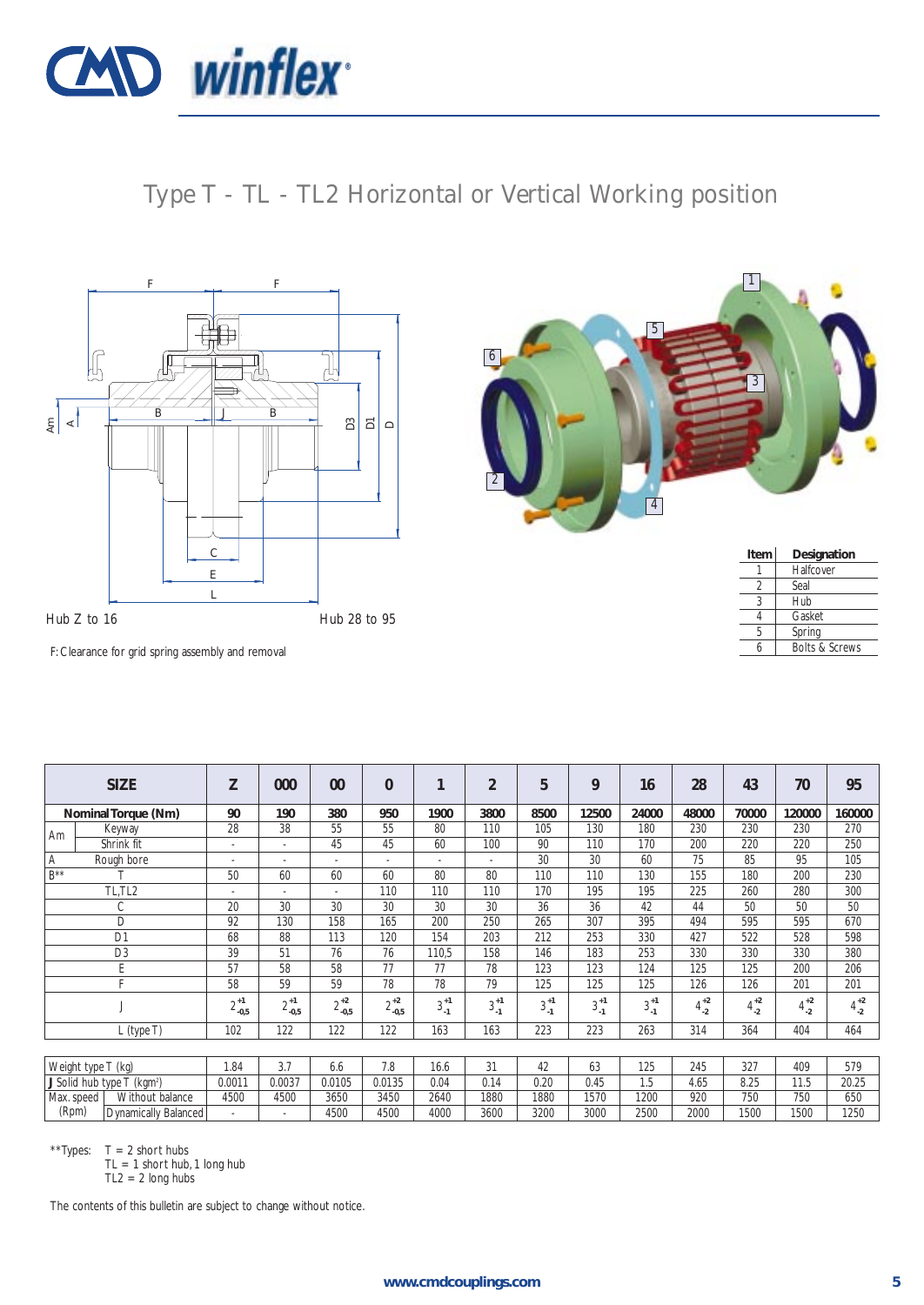![](_page_4_Picture_0.jpeg)

Type T - TL - TL2 Horizontal or Vertical Working position

![](_page_4_Figure_2.jpeg)

![](_page_4_Picture_3.jpeg)

| Item | Designation               |
|------|---------------------------|
|      | Halfcover                 |
| 2    | Seal                      |
| ς    | Hub                       |
|      | Gasket                    |
| 5    | Spring                    |
|      | <b>Bolts &amp; Screws</b> |
|      |                           |

F: Clearance for grid spring assembly and removal

|            | <b>SIZE</b>                            | Z                        | 000             | 00                       | $\Omega$        | 1             | $\overline{2}$           | 5             | 9             | 16            | 28            | 43            | 70            | 95            |
|------------|----------------------------------------|--------------------------|-----------------|--------------------------|-----------------|---------------|--------------------------|---------------|---------------|---------------|---------------|---------------|---------------|---------------|
|            | Nominal Torque (Nm)                    | 90                       | 190             | 380                      | 950             | 1900          | 3800                     | 8500          | 12500         | 24000         | 48000         | 70000         | 120000        | 160000        |
| Am         | Keyway                                 | 28                       | 38              | 55                       | 55              | 80            | 110                      | 105           | 130           | 180           | 230           | 230           | 230           | 270           |
|            | Shrink fit                             | ٠                        | ٠               | 45                       | 45              | 60            | 100                      | 90            | 110           | 170           | 200           | 220           | 220           | 250           |
| Α          | Rough bore                             | $\overline{\phantom{a}}$ | $\sim$          | $\sim$                   |                 | $\sim$        | $\overline{\phantom{a}}$ | 30            | 30            | 60            | 75            | 85            | 95            | 105           |
| $B***$     |                                        | 50                       | 60              | 60                       | 60              | 80            | 80                       | 110           | 110           | 130           | 155           | 180           | 200           | 230           |
|            | TL,TL2                                 | ٠                        | ٠               | $\overline{\phantom{a}}$ | 110             | 110           | 110                      | 170           | 195           | 195           | 225           | 260           | 280           | 300           |
|            | С                                      | 20                       | 30              | 30                       | 30              | 30            | 30                       | 36            | 36            | 42            | 44            | 50            | 50            | 50            |
|            | D                                      | 92                       | 130             | 158                      | 165             | 200           | 250                      | 265           | 307           | 395           | 494           | 595           | 595           | 670           |
|            | D <sub>1</sub>                         | 68                       | 88              | 113                      | 120             | 154           | 203                      | 212           | 253           | 330           | 427           | 522           | 528           | 598           |
|            | D <sub>3</sub>                         | 39                       | 51              | 76                       | 76              | 110,5         | 158                      | 146           | 183           | 253           | 330           | 330           | 330           | 380           |
|            | E                                      | 57                       | 58              | 58                       | 77              | 77            | 78                       | 123           | 123           | 124           | 125           | 125           | 200           | 206           |
|            | Е                                      | 58                       | 59              | 59                       | 78              | 78            | 79                       | 125           | 125           | 125           | 126           | 126           | 201           | 201           |
|            |                                        | $2^{+1}_{-0,5}$          | $2^{+1}_{-0,5}$ | $2^{+2}_{-0,5}$          | $2^{+2}_{-0,5}$ | $3^{+1}_{-1}$ | $3^{+1}_{-1}$            | $3^{+1}_{-1}$ | $3^{+1}_{-1}$ | $3^{+1}_{-1}$ | $4^{+2}_{-2}$ | $4^{+2}_{-2}$ | $4^{+2}_{-2}$ | $4^{+2}_{-2}$ |
|            | $L$ (type T)                           | 102                      | 122             | 122                      | 122             | 163           | 163                      | 223           | 223           | 263           | 314           | 364           | 404           | 464           |
|            |                                        |                          |                 |                          |                 |               |                          |               |               |               |               |               |               |               |
|            | Weight type T (kg)                     | 1.84                     | 3.7             | 6.6                      | 7.8             | 16.6          | 31                       | 42            | 63            | 125           | 245           | 327           | 409           | 579           |
|            | J Solid hub type T (kgm <sup>2</sup> ) | 0.0011                   | 0.0037          | 0.0105                   | 0.0135          | 0.04          | 0.14                     | 0.20          | 0.45          | 1.5           | 4.65          | 8.25          | 11.5          | 20.25         |
| Max. speed | Without balance                        | 4500                     | 4500            | 3650                     | 3450            | 2640          | 1880                     | 1880          | 1570          | 1200          | 920           | 750           | 750           | 650           |
| (Rpm)      | Dynamically Balanced                   |                          |                 | 4500                     | 4500            | 4000          | 3600                     | 3200          | 3000          | 2500          | 2000          | 1500          | 1500          | 1250          |

\*\*Types:  $T = 2$  short hubs

TL = 1 short hub, 1 long hub

 $TL2 = 2$  long hubs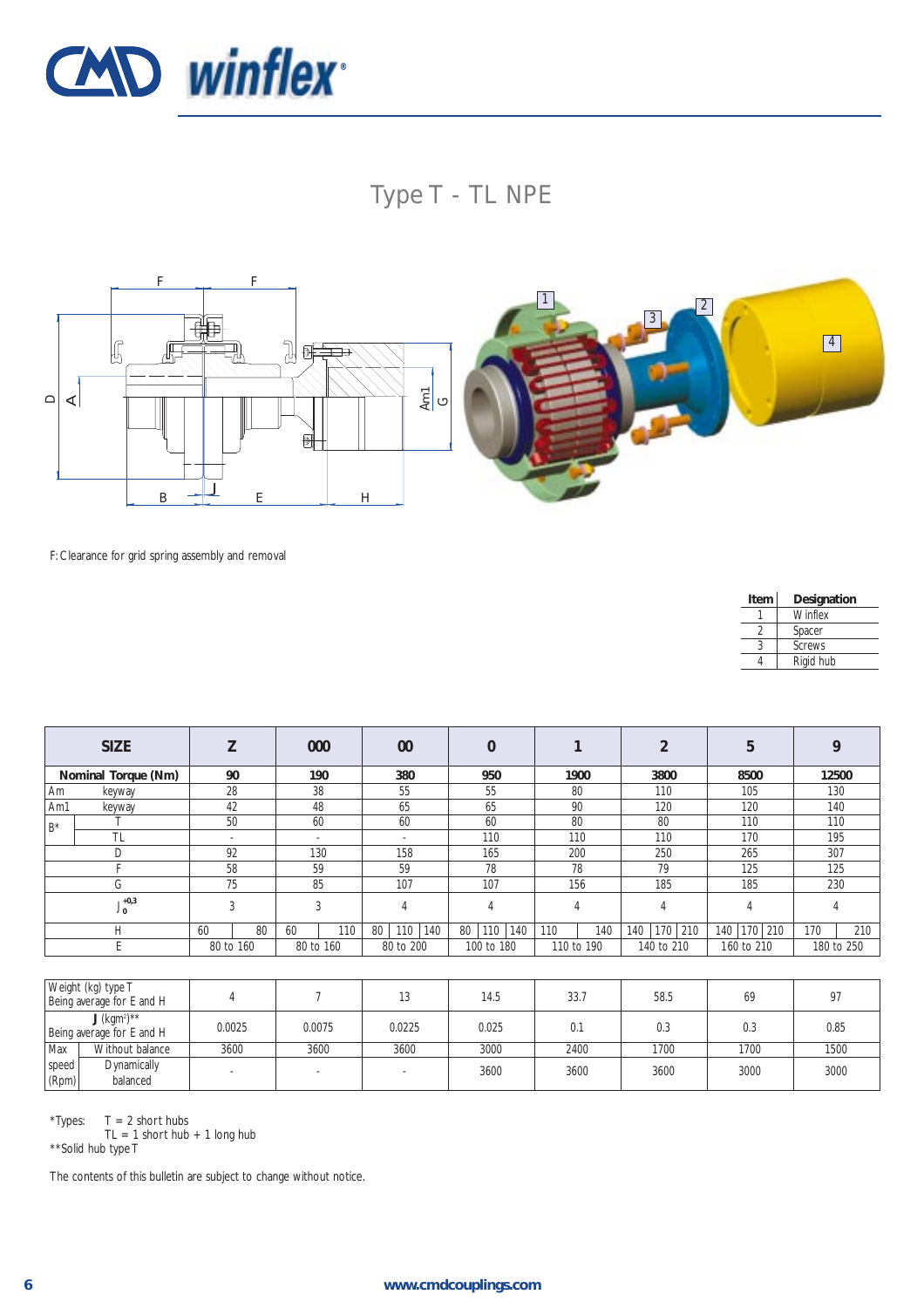![](_page_5_Picture_0.jpeg)

## Type T - TL NPE

![](_page_5_Figure_2.jpeg)

F: Clearance for grid spring assembly and removal

| Item | Designation   |
|------|---------------|
|      | Winflex       |
|      | Spacer        |
| 3    | <b>Screws</b> |
|      | Rigid hub     |

|                           | <b>SIZE</b> |                          | 000                      | 00               |                  |            |                   | 5           |            |
|---------------------------|-------------|--------------------------|--------------------------|------------------|------------------|------------|-------------------|-------------|------------|
| Nominal Torque (Nm)       |             | 90                       | 190                      | 380              | 950              | 1900       | 3800              | 8500        | 12500      |
| Am<br>keyway              |             | 28                       | 38                       | 55               | 55               | 80         | 110               | 105         | 130        |
| Am1                       | keyway      | 42                       | 48                       | 65               | 65               | 90         | 120               | 120         | 140        |
| $B^*$                     | 50          |                          | 60                       | 60               | 60               | 80         | 80                | 110         | 110        |
|                           | <b>TL</b>   | $\overline{\phantom{a}}$ | $\overline{\phantom{a}}$ | $\sim$           | 110              | 110        | 110               | 170         | 195        |
|                           | D           | 92                       | 130                      | 158              | 165              | 200        | 250               | 265         | 307        |
|                           |             | 58                       | 59                       | 59               | 78               | 78         | 79                | 125         | 125        |
|                           | G           | 75                       | 85                       | 107              | 107              | 156        | 185               | 185         | 230        |
| $1 + 0.3$<br>$^{\circ}$ 0 |             | 3                        | 3                        |                  |                  | 4          | 4                 |             |            |
|                           | Н           | 80<br>60                 | 110<br>60                | 110<br>140<br>80 | 80<br>110<br>140 | 140<br>110 | 170<br>210<br>140 | 140 170 210 | 170<br>210 |
|                           |             | 80 to 160                | 80 to 160                | 80 to 200        | 100 to 180       | 110 to 190 | 140 to 210        | 160 to 210  | 180 to 250 |

| Weight (kg) type T<br>Being average for E and H                    |  |        |        | 13     | 14.5  | 33.7 | 58.5 | 69   | Q <sub>0</sub> |
|--------------------------------------------------------------------|--|--------|--------|--------|-------|------|------|------|----------------|
| $J$ (kgm <sup>2</sup> ) <sup>**</sup><br>Being average for E and H |  | 0.0025 | 0.0075 | 0.0225 | 0.025 | 0.1  | 0.3  | 0.3  | 0.85           |
| Max<br>Without balance                                             |  | 3600   | 3600   | 3600   | 3000  | 2400 | 1700 | 1700 | 1500           |
| Dynamically<br>speed<br>(Rpm)<br>balanced                          |  |        |        |        | 3600  | 3600 | 3600 | 3000 | 3000           |

\*Types:  $T = 2$  short hubs

TL = 1 short hub + 1 long hub

\*\*Solid hub type T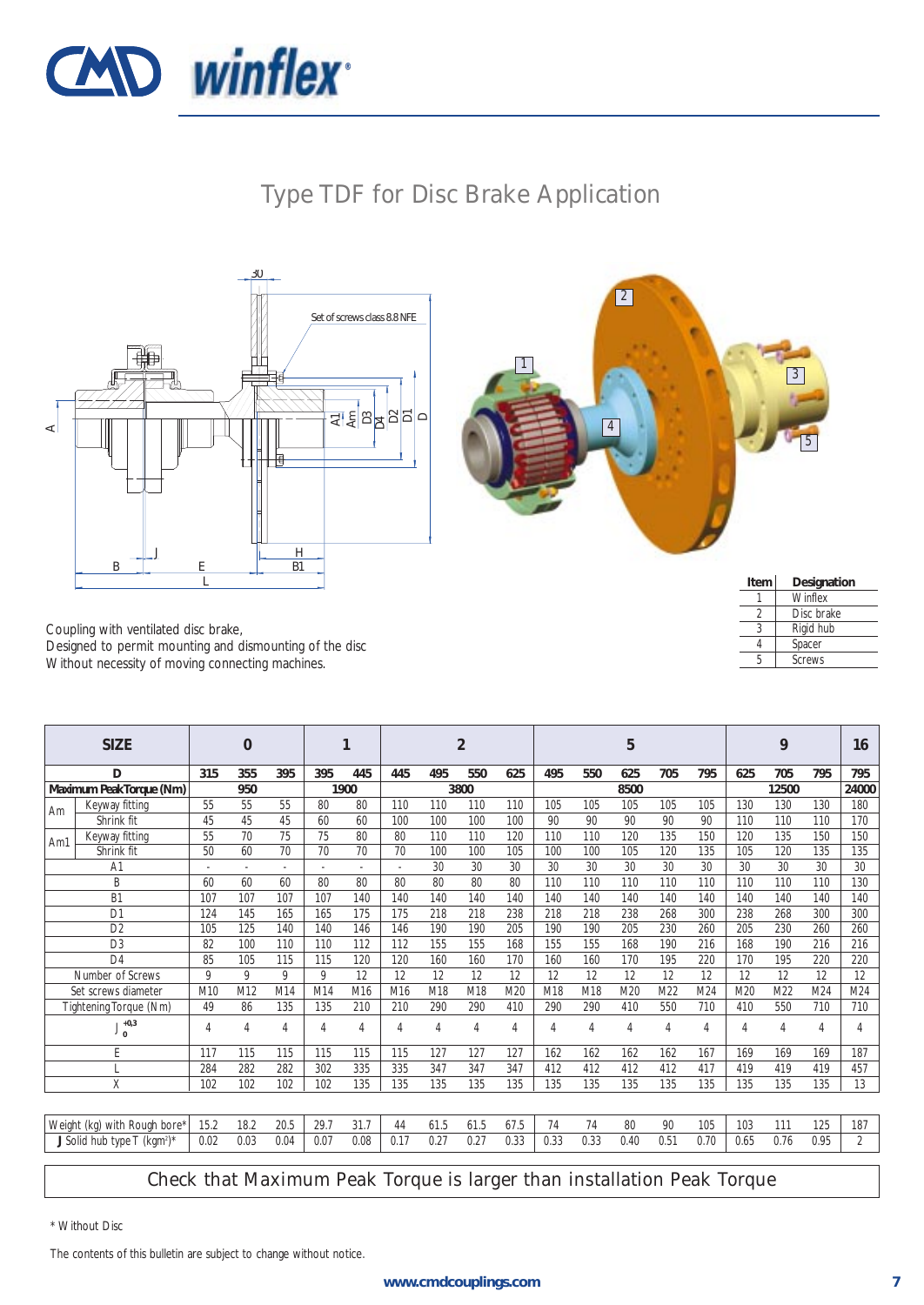![](_page_6_Picture_0.jpeg)

## Type TDF for Disc Brake Application

![](_page_6_Figure_2.jpeg)

![](_page_6_Picture_3.jpeg)

Coupling with ventilated disc brake, Designed to permit mounting and dismounting of the disc Without necessity of moving connecting machines.

| Item | Designation   |
|------|---------------|
|      | Winflex       |
|      | Disc brake    |
|      | Rigid hub     |
|      | Spacer        |
| Б,   | <b>Screws</b> |
|      |               |

|     | <b>SIZE</b>                                           |      | 0              |              |      |                |                          |      | $\overline{2}$ |      |      |      | 5    |      |      |      | 9     |                | 16             |
|-----|-------------------------------------------------------|------|----------------|--------------|------|----------------|--------------------------|------|----------------|------|------|------|------|------|------|------|-------|----------------|----------------|
|     | D                                                     | 315  | 355            | 395          | 395  | 445            | 445                      | 495  | 550            | 625  | 495  | 550  | 625  | 705  | 795  | 625  | 705   | 795            | 795            |
|     | Maximum Peak Torque (Nm)                              |      | 950            |              |      | 1900           |                          |      | 3800           |      |      |      | 8500 |      |      |      | 12500 |                | 24000          |
| Am  | Keyway fitting                                        | 55   | 55             | 55           | 80   | 80             | 110                      | 110  | 110            | 110  | 105  | 105  | 105  | 105  | 105  | 130  | 130   | 130            | 180            |
|     | Shrink fit                                            | 45   | 45             | 45           | 60   | 60             | 100                      | 100  | 100            | 100  | 90   | 90   | 90   | 90   | 90   | 110  | 110   | 110            | 170            |
| Am1 | Keyway fitting                                        | 55   | 70             | 75           | 75   | 80             | 80                       | 110  | 110            | 120  | 110  | 110  | 120  | 135  | 150  | 120  | 135   | 150            | 150            |
|     | Shrink fit                                            | 50   | 60             | 70           | 70   | 70             | 70                       | 100  | 100            | 105  | 100  | 100  | 105  | 120  | 135  | 105  | 120   | 135            | 135            |
|     | A <sub>1</sub>                                        |      | $\sim$         |              |      | $\sim$         | $\overline{\phantom{a}}$ | 30   | 30             | 30   | 30   | 30   | 30   | 30   | 30   | 30   | 30    | 30             | 30             |
|     | B                                                     | 60   | 60             | 60           | 80   | 80             | 80                       | 80   | 80             | 80   | 110  | 110  | 110  | 110  | 110  | 110  | 110   | 110            | 130            |
|     | B <sub>1</sub>                                        | 107  | 107            | 107          | 107  | 140            | 140                      | 140  | 140            | 140  | 140  | 140  | 140  | 140  | 140  | 140  | 140   | 140            | 140            |
|     | D <sub>1</sub>                                        | 124  | 145            | 165          | 165  | 175            | 175                      | 218  | 218            | 238  | 218  | 218  | 238  | 268  | 300  | 238  | 268   | 300            | 300            |
|     | D <sub>2</sub>                                        | 105  | 125            | 140          | 140  | 146            | 146                      | 190  | 190            | 205  | 190  | 190  | 205  | 230  | 260  | 205  | 230   | 260            | 260            |
|     | D <sub>3</sub>                                        | 82   | 100            | 110          | 110  | 112            | 112                      | 155  | 155            | 168  | 155  | 155  | 168  | 190  | 216  | 168  | 190   | 216            | 216            |
|     | $\Box$ 4                                              | 85   | 105            | 115          | 115  | 120            | 120                      | 160  | 160            | 170  | 160  | 160  | 170  | 195  | 220  | 170  | 195   | 220            | 220            |
|     | Number of Screws                                      | 9    | 9              | $\mathsf{Q}$ | 9    | 12             | 12                       | 12   | 12             | 12   | 12   | 12   | 12   | 12   | 12   | 12   | 12    | 12             | 12             |
|     | Set screws diameter                                   | M10  | M12            | M14          | M14  | M16            | M <sub>16</sub>          | M18  | M18            | M20  | M18  | M18  | M20  | M22  | M24  | M20  | M22   | M24            | M24            |
|     | Tightening Torque (Nm)                                | 49   | 86             | 135          | 135  | 210            | 210                      | 290  | 290            | 410  | 290  | 290  | 410  | 550  | 710  | 410  | 550   | 710            | 710            |
|     | $+0,3$<br>$\Omega$                                    | 4    | $\overline{4}$ | $\Delta$     | 4    | $\overline{4}$ | 4                        | 4    | $\overline{4}$ | 4    | 4    | 4    | 4    | 4    | 4    | 4    | 4     | $\overline{4}$ | 4              |
|     | E                                                     | 117  | 115            | 115          | 115  | 115            | 115                      | 127  | 127            | 127  | 162  | 162  | 162  | 162  | 167  | 169  | 169   | 169            | 187            |
|     |                                                       | 284  | 282            | 282          | 302  | 335            | 335                      | 347  | 347            | 347  | 412  | 412  | 412  | 412  | 417  | 419  | 419   | 419            | 457            |
|     | X                                                     | 102  | 102            | 102          | 102  | 135            | 135                      | 135  | 135            | 135  | 135  | 135  | 135  | 135  | 135  | 135  | 135   | 135            | 13             |
|     |                                                       |      |                |              |      |                |                          |      |                |      |      |      |      |      |      |      |       |                |                |
|     | Weight (kg) with Rough bore*                          | 15.2 | 18.2           | 20.5         | 29.7 | 31.7           | 44                       | 61.5 | 61.5           | 67.5 | 74   | 74   | 80   | 90   | 105  | 103  | 111   | 125            | 187            |
|     | J Solid hub type $T$ (kgm <sup>2</sup> ) <sup>*</sup> | 0.02 | 0.03           | 0.04         | 0.07 | 0.08           | 0.17                     | 0.27 | 0.27           | 0.33 | 0.33 | 0.33 | 0.40 | 0.51 | 0.70 | 0.65 | 0.76  | 0.95           | $\overline{2}$ |

#### Check that Maximum Peak Torque is larger than installation Peak Torque

\* Without Disc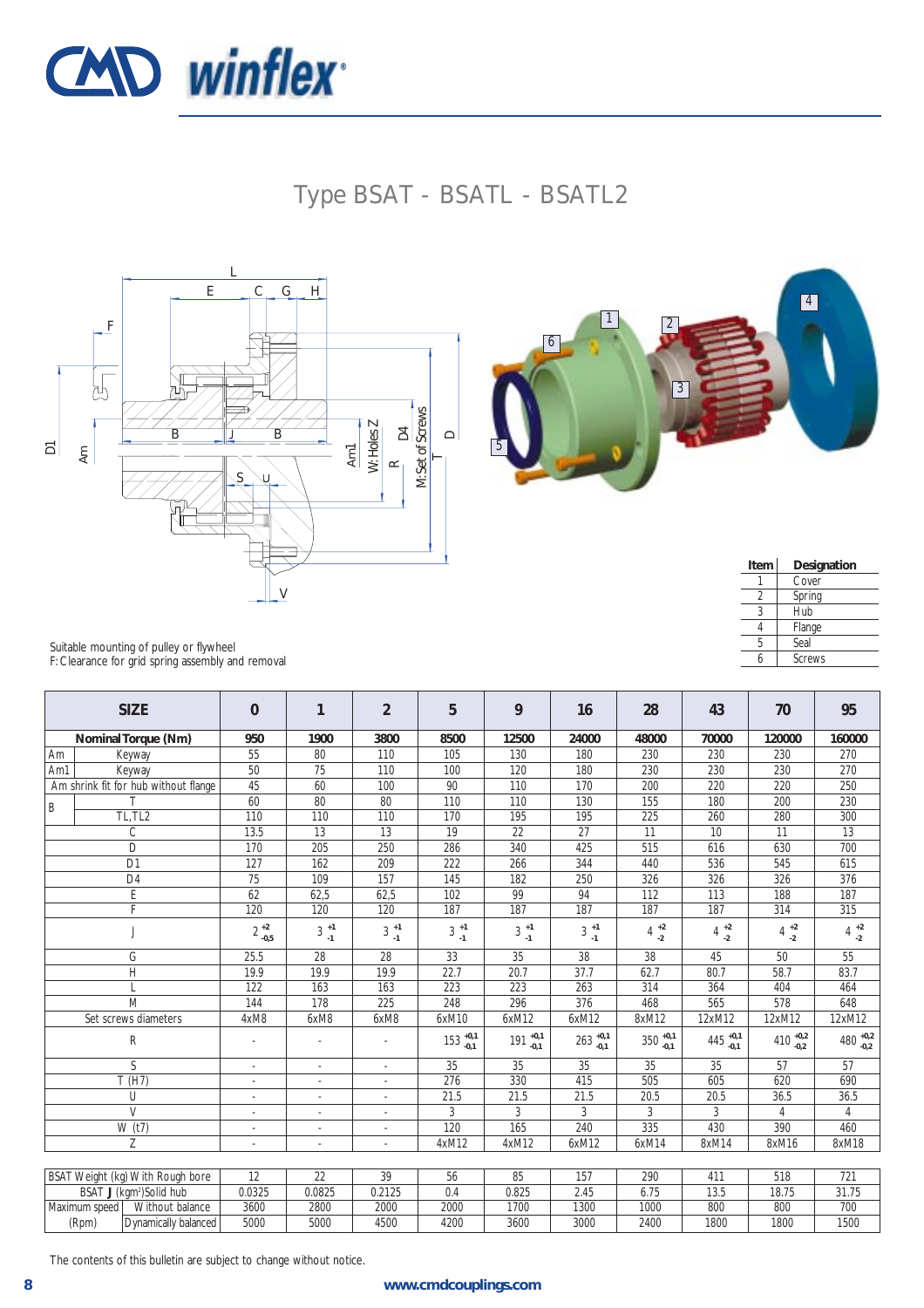![](_page_7_Picture_0.jpeg)

## Type BSAT - BSATL - BSATL2

![](_page_7_Figure_2.jpeg)

![](_page_7_Picture_3.jpeg)

| Item | Designation   |
|------|---------------|
|      | Cover         |
|      | Spring        |
| 3    | Hub           |
|      | Flange        |
| 5    | Seal          |
|      | <b>Screws</b> |

Suitable mounting of pulley or flywheel F: Clearance for grid spring assembly and removal

|               | <b>SIZE</b>                          | $\Omega$                 | $\mathbf{1}$                             | $\overline{2}$                          | 5                                        | 9                                       | 16                  | 28                  | 43                   | 70                                       | 95                                       |
|---------------|--------------------------------------|--------------------------|------------------------------------------|-----------------------------------------|------------------------------------------|-----------------------------------------|---------------------|---------------------|----------------------|------------------------------------------|------------------------------------------|
|               | Nominal Torque (Nm)                  | 950                      | 1900                                     | 3800                                    | 8500                                     | 12500                                   | 24000               | 48000               | 70000                | 120000                                   | 160000                                   |
| Am            | Keyway                               | 55                       | 80                                       | 110                                     | 105                                      | 130                                     | 180                 | 230                 | 230                  | 230                                      | 270                                      |
| Am1           | Keyway                               | 50                       | 75                                       | 110                                     | 100                                      | 120                                     | 180                 | 230                 | 230                  | 230                                      | 270                                      |
|               | Am shrink fit for hub without flange | 45                       | 60                                       | 100                                     | 90                                       | 110                                     | 170                 | 200                 | 220                  | 220                                      | 250                                      |
| B             |                                      | 60                       | 80                                       | 80                                      | 110                                      | 110                                     | 130                 | 155                 | 180                  | 200                                      | 230                                      |
|               | TL, TL <sub>2</sub>                  | 110                      | 110                                      | 110                                     | 170                                      | 195                                     | 195                 | 225                 | 260                  | 280                                      | 300                                      |
|               | $\overline{C}$                       | 13.5                     | 13                                       | 13                                      | 19                                       | 22                                      | 27                  | 11                  | 10                   | 11                                       | 13                                       |
|               | D                                    | 170                      | 205                                      | 250                                     | 286                                      | 340                                     | 425                 | 515                 | 616                  | 630                                      | 700                                      |
|               | D <sub>1</sub>                       | 127                      | 162                                      | 209                                     | 222                                      | 266                                     | 344                 | 440                 | 536                  | 545                                      | 615                                      |
|               | D <sub>4</sub>                       | 75                       | 109                                      | 157                                     | 145                                      | 182                                     | 250                 | 326                 | 326                  | 326                                      | 376                                      |
|               | E                                    | 62                       | 62,5                                     | 62,5                                    | 102                                      | 99                                      | 94                  | 112                 | 113                  | 188                                      | 187                                      |
|               | F                                    | 120                      | 120                                      | 120                                     | 187                                      | 187                                     | 187                 | 187                 | 187                  | 314                                      | 315                                      |
|               |                                      | $2^{+2}_{-0,5}$          | $3\begin{array}{c} +1 \\ -1 \end{array}$ | $3\begin{array}{c} +1 \\ 1 \end{array}$ | $3\begin{array}{c} +1 \\ -1 \end{array}$ | $3\begin{array}{c} +1 \\ 1 \end{array}$ | $3^{+1}_{-1}$       | $4^{+2}_{-2}$       | $4^{+2}_{-2}$        | $4\begin{array}{c} +2 \\ -2 \end{array}$ | $4\begin{array}{c} +2 \\ -2 \end{array}$ |
|               | G                                    | 25.5                     | 28                                       | 28                                      | 33                                       | 35                                      | 38                  | 38                  | 45                   | 50                                       | 55                                       |
|               | H                                    | 19.9                     | 19.9                                     | 19.9                                    | 22.7                                     | 20.7                                    | 37.7                | 62.7                | 80.7                 | 58.7                                     | 83.7                                     |
|               |                                      | 122                      | 163                                      | 163                                     | 223                                      | 223                                     | 263                 | 314                 | 364                  | 404                                      | 464                                      |
|               | M                                    | 144                      | 178                                      | 225                                     | 248                                      | 296                                     | 376                 | 468                 | 565                  | 578                                      | 648                                      |
|               | Set screws diameters                 | 4xM8                     | 6xM8                                     | 6xM8                                    | 6xM10                                    | 6xM12                                   | 6xM12               | 8xM12               | 12xM12               | 12xM12                                   | 12xM12                                   |
|               | R                                    |                          |                                          |                                         | $153^{+0,1}_{-0,1}$                      | $191^{+0,1}_{-0,1}$                     | $263^{+0,1}_{-0,1}$ | $350^{+0,1}_{-0,1}$ | 445 $^{+0,1}_{-0,1}$ | 410 $^{+0,2}_{-0,2}$                     | $480^{+0,2}_{-0,2}$                      |
|               | S                                    | $\overline{\phantom{a}}$ | $\overline{\phantom{a}}$                 | $\sim$                                  | 35                                       | 35                                      | 35                  | 35                  | 35                   | 57                                       | 57                                       |
|               | T(H7)                                | $\sim$                   | $\overline{\phantom{a}}$                 | $\sim$                                  | 276                                      | 330                                     | 415                 | 505                 | 605                  | 620                                      | 690                                      |
|               | U                                    | $\sim$                   | $\overline{\phantom{a}}$                 | $\sim$                                  | 21.5                                     | 21.5                                    | 21.5                | 20.5                | 20.5                 | 36.5                                     | 36.5                                     |
|               | $\overline{V}$                       |                          |                                          |                                         | 3                                        | 3                                       | 3                   | 3                   | 3                    | 4                                        | $\overline{4}$                           |
|               | $\overline{W}(t7)$                   |                          | $\overline{\phantom{a}}$                 | $\sim$                                  | 120                                      | 165                                     | 240                 | 335                 | 430                  | 390                                      | 460                                      |
|               | Z                                    |                          | $\overline{a}$                           |                                         | 4xM12                                    | 4xM12                                   | 6xM12               | 6xM14               | 8xM14                | 8xM16                                    | 8xM18                                    |
|               |                                      |                          |                                          |                                         |                                          |                                         |                     |                     |                      |                                          |                                          |
|               | BSAT Weight (kg) With Rough bore     | 12                       | 22                                       | 39                                      | 56                                       | 85                                      | 157                 | 290                 | 411                  | 518                                      | 721                                      |
|               | BSAT J (kgm <sup>2</sup> )Solid hub  | 0.0325                   | 0.0825                                   | 0.2125                                  | 0.4                                      | 0.825                                   | 2.45                | 6.75                | 13.5                 | 18.75                                    | 31.75                                    |
| Maximum speed | Without balance                      | 3600                     | 2800                                     | 2000                                    | 2000                                     | 1700                                    | 1300                | 1000                | 800                  | 800                                      | 700                                      |
| (Rpm)         | Dynamically balanced                 | 5000                     | 5000                                     | 4500                                    | 4200                                     | 3600                                    | 3000                | 2400                | 1800                 | 1800                                     | 1500                                     |

The contents of this bulletin are subject to change without notice.

(Rpm) Dynamically balanced 5000 5000 4500 4200 3600 3000 2400 1800 1800 1500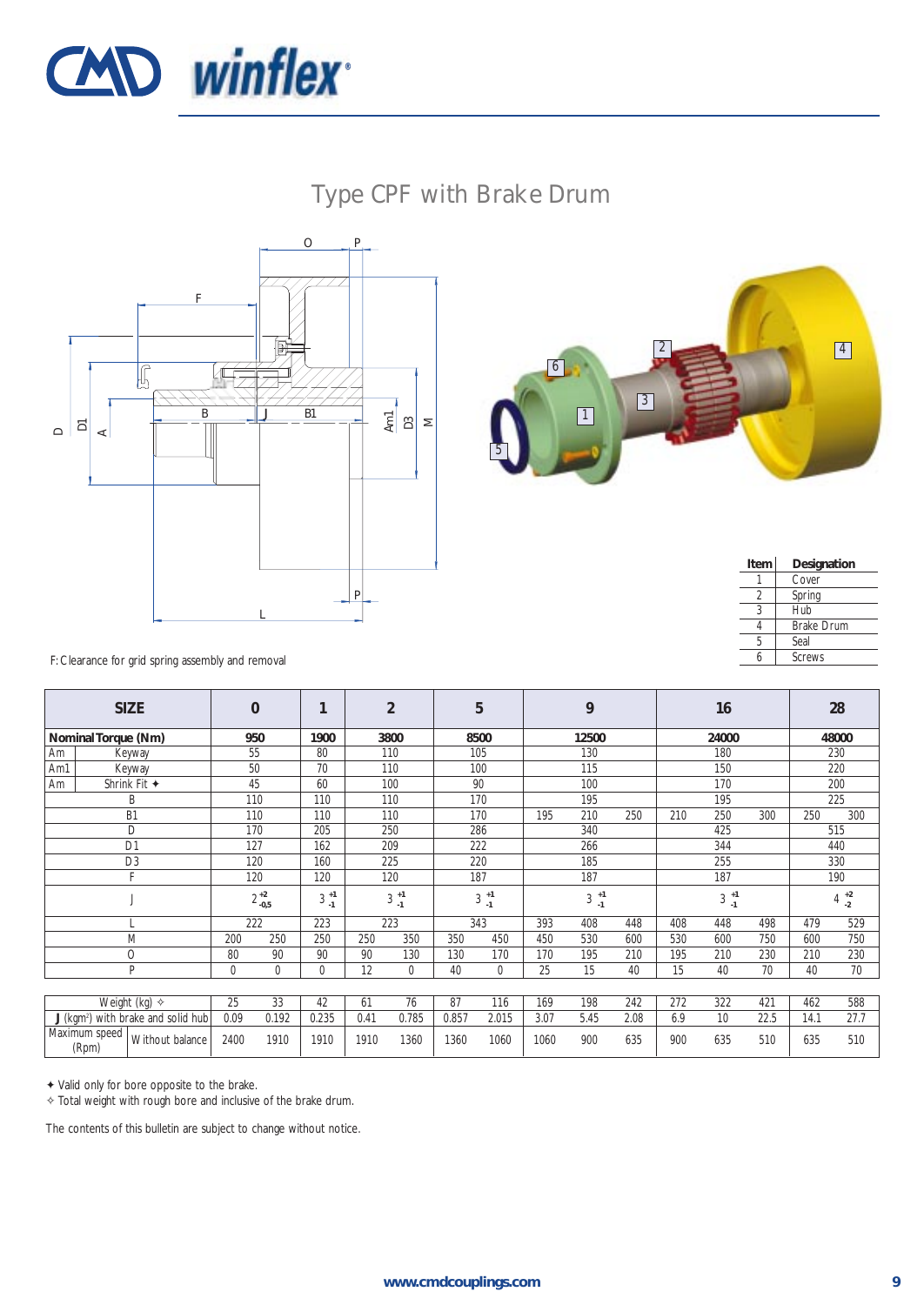![](_page_8_Picture_0.jpeg)

## Type CPF with Brake Drum

![](_page_8_Figure_2.jpeg)

![](_page_8_Picture_3.jpeg)

| Item | Designation       |
|------|-------------------|
|      | Cover             |
|      | Spring            |
|      | Hub               |
|      | <b>Brake Drum</b> |
| 5    | Seal              |
| h    | <b>Screws</b>     |
|      |                   |

F: Clearance for grid spring assembly and removal

|                        | <b>SIZE</b>                                    |      | $\bf{0}$            |                  |      | $\overline{2}$   |       | 5                | 9    |                  |      |     | 16               |      | 28   |                                          |
|------------------------|------------------------------------------------|------|---------------------|------------------|------|------------------|-------|------------------|------|------------------|------|-----|------------------|------|------|------------------------------------------|
| Nominal Torque (Nm)    |                                                |      | 950                 | 1900             |      | 3800             |       | 8500             |      | 12500            |      |     | 24000            |      |      | 48000                                    |
| Am                     | Keyway                                         |      | 55                  | 80               |      | 110              |       | 105              |      | 130              |      |     | 180              |      |      | 230                                      |
| Am1                    | Keyway                                         |      | 50                  | 70               |      | 110              | 100   |                  |      | 115              |      |     | 150              |      | 220  |                                          |
| Am                     | Shrink Fit $\triangleleft$                     |      | 45                  | 60               |      | 100              | 90    |                  |      | 100              |      | 170 |                  |      |      | 200                                      |
|                        | B                                              | 110  |                     | 110              |      | 110              |       | 170              |      | 195              |      |     | 195              |      |      | 225                                      |
|                        | B <sub>1</sub>                                 |      | 110                 | 110              |      | 110              |       | 170              | 195  | 210              | 250  | 210 | 250              | 300  | 250  | 300                                      |
|                        | D                                              |      | 170                 | 205              |      | 250              |       | 286              |      | 340              |      |     | 425              |      |      | 515                                      |
|                        | D <sub>1</sub>                                 | 127  |                     | 162              |      | 209              |       | 222              |      | 266              |      |     | 344              |      |      | 440                                      |
|                        | D <sub>3</sub>                                 | 120  |                     | 160              |      | 225              | 220   |                  |      | 185              |      |     | 255              |      |      | 330                                      |
|                        |                                                |      | 120                 | 120              |      | 120              | 187   |                  |      | 187              |      |     | 187              |      |      | 190                                      |
|                        |                                                |      | $2\,{}^{+2}_{-0,5}$ | $3^{+1}$<br>$-1$ |      | $3^{+1}$<br>$-1$ |       | $3^{+1}$<br>$-1$ |      | $3^{+1}$<br>$-1$ |      |     | $3^{+1}$<br>$-1$ |      |      | $4\begin{array}{c} +2 \\ -2 \end{array}$ |
|                        |                                                |      | 222                 | 223              |      | 223              |       | 343              | 393  | 408              | 448  | 408 | 448              | 498  | 479  | 529                                      |
|                        | M                                              | 200  | 250                 | 250              | 250  | 350              | 350   | 450              | 450  | 530              | 600  | 530 | 600              | 750  | 600  | 750                                      |
|                        | O                                              | 80   | 90                  | 90               | 90   | 130              | 130   | 170              | 170  | 195              | 210  | 195 | 210              | 230  | 210  | 230                                      |
|                        | P                                              | 0    | 0                   | 0                | 12   | 0                | 40    | $\mathbf 0$      | 25   | 15               | 40   | 15  | 40               | 70   | 40   | 70                                       |
|                        |                                                |      |                     |                  |      |                  |       |                  |      |                  |      |     |                  |      |      |                                          |
|                        | Weight (kg) $\diamond$                         | 25   | 33                  | 42               | 61   | 76               | 87    | 116              | 169  | 198              | 242  | 272 | 322              | 421  | 462  | 588                                      |
|                        | J (kgm <sup>2</sup> ) with brake and solid hub | 0.09 | 0.192               | 0.235            | 0.41 | 0.785            | 0.857 | 2.015            | 3.07 | 5.45             | 2.08 | 6.9 | 10               | 22.5 | 14.1 | 27.7                                     |
| Maximum speed<br>(Rpm) | Without balance                                | 2400 | 1910                | 1910             | 1910 | 1360             | 1360  | 1060             | 1060 | 900              | 635  | 900 | 635              | 510  | 635  | 510                                      |

✦ Valid only for bore opposite to the brake.

✧ Total weight with rough bore and inclusive of the brake drum.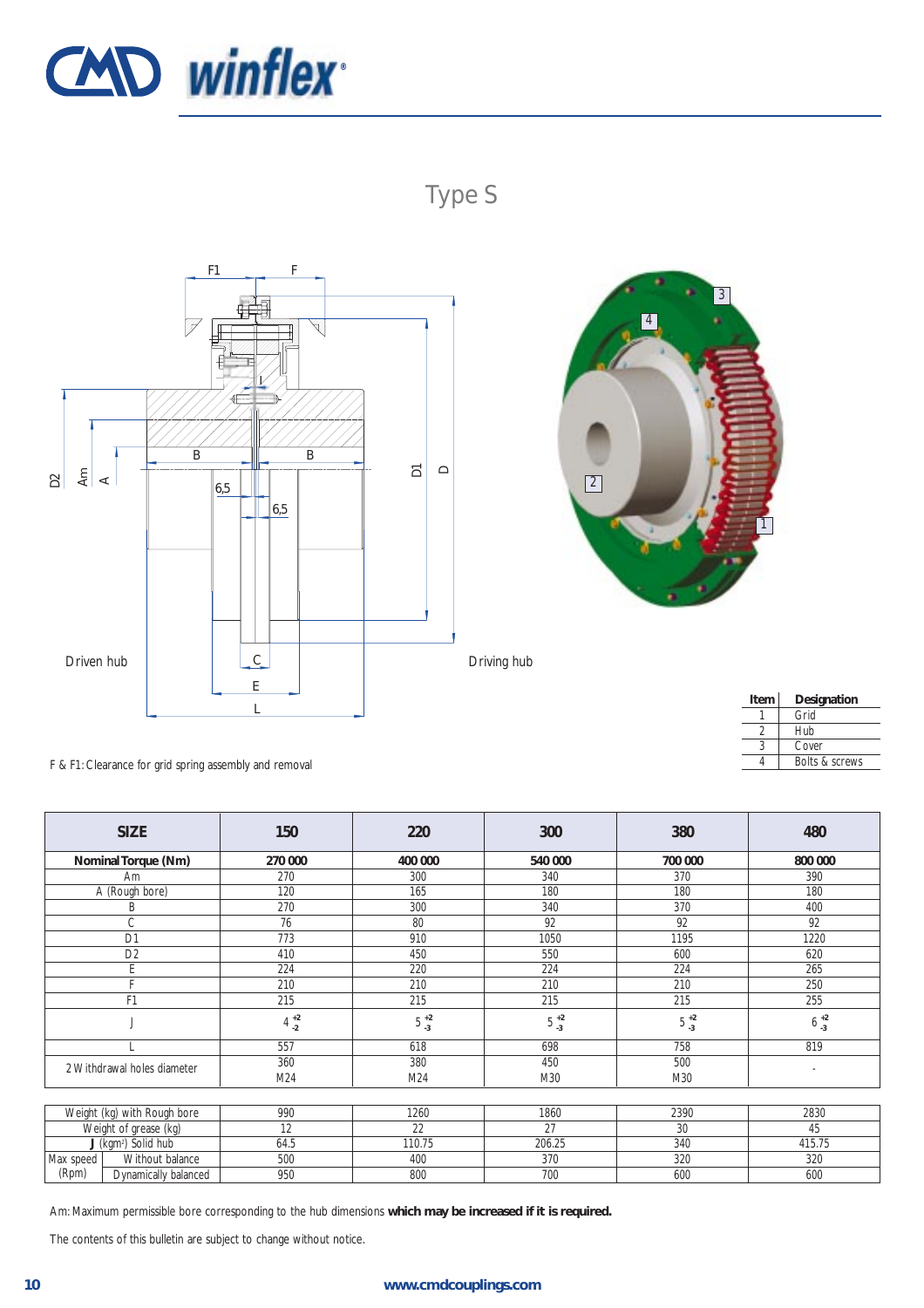![](_page_9_Picture_0.jpeg)

![](_page_9_Figure_1.jpeg)

![](_page_9_Figure_2.jpeg)

![](_page_9_Picture_3.jpeg)

| Item | Designation               |
|------|---------------------------|
|      | Grid                      |
|      | Hub                       |
|      | Cover                     |
|      | <b>Bolts &amp; screws</b> |
|      |                           |

F & F1: Clearance for grid spring assembly and removal

|                                 | <b>SIZE</b><br>150   |                    | 220              | 300               | 380              | 480                      |  |  |  |  |  |
|---------------------------------|----------------------|--------------------|------------------|-------------------|------------------|--------------------------|--|--|--|--|--|
|                                 | Nominal Torque (Nm)  | 270 000            | 400 000          | 540 000           | 700 000          | 800 000                  |  |  |  |  |  |
|                                 | Am                   | 270                | 300              | 340               | 370              | 390                      |  |  |  |  |  |
|                                 | A (Rough bore)       | 120                | 165              | 180               | 180              | 180                      |  |  |  |  |  |
|                                 | Β                    | 270                | 300              | 340               | 370              | 400                      |  |  |  |  |  |
|                                 | C                    | 76                 | 80               | 92                | 92               | 92                       |  |  |  |  |  |
|                                 | D <sub>1</sub>       | 773                | 910              | 1195<br>1050      |                  |                          |  |  |  |  |  |
|                                 | D <sub>2</sub>       | 410                | 450              | 550<br>600        |                  |                          |  |  |  |  |  |
|                                 | E                    | 224                | 220              | 224               | 224              | 265                      |  |  |  |  |  |
|                                 | с                    | 210                | 210              | 210               | 210              | 250                      |  |  |  |  |  |
| F <sub>1</sub>                  |                      | 215                | 215              | 215               | 215              | 255                      |  |  |  |  |  |
|                                 |                      | $4\,$ $^{+2}_{-2}$ | $5\frac{+2}{-3}$ | $5\,{}^{+2}_{-3}$ | $5\frac{+2}{-3}$ | $6^{+2}_{-3}$            |  |  |  |  |  |
|                                 |                      | 557                | 618              | 698               | 758              | 819                      |  |  |  |  |  |
| 2 Withdrawal holes diameter     |                      | 360                | 380              | 450               | 500              | $\overline{\phantom{a}}$ |  |  |  |  |  |
|                                 |                      | M24                | M24              | M30               | M30              |                          |  |  |  |  |  |
|                                 |                      |                    |                  |                   |                  |                          |  |  |  |  |  |
| Weight (kg) with Rough bore     |                      | 990                | 1260             | 1860              | 2390             | 2830                     |  |  |  |  |  |
| Weight of grease (kg)           |                      | 12                 | 22               | 27                | 30               | 45                       |  |  |  |  |  |
| J (kgm <sup>2</sup> ) Solid hub |                      | 64.5               | 110.75           | 206.25            | 340              | 415.75                   |  |  |  |  |  |
| Max speed                       | Without balance      | 500                | 400              | 370               | 320              | 320                      |  |  |  |  |  |
| (Rpm)                           | Dynamically balanced | 950                | 800              | 700               | 600              | 600                      |  |  |  |  |  |

Am: Maximum permissible bore corresponding to the hub dimensions **which may be increased if it is required.**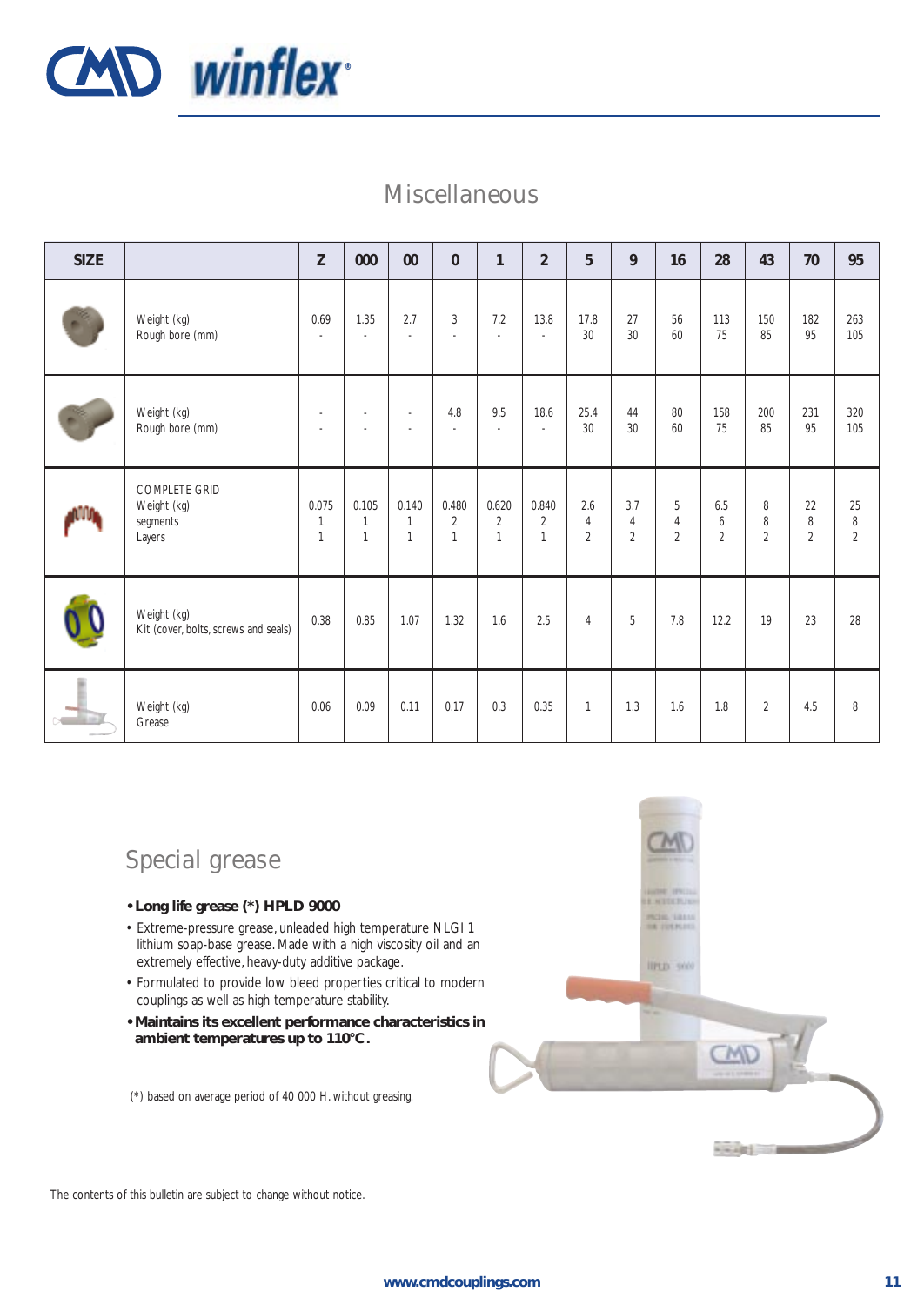![](_page_10_Picture_0.jpeg)

### Miscellaneous

| <b>SIZE</b> |                                                           | Z                                         | 000                                     | $00\,$                                | $\mathbf{0}$                            | $\mathbf{1}$                            | $\overline{2}$                          | 5                                       | 9                                       | 16                                    | 28                         | 43                       | 70                        | 95                             |
|-------------|-----------------------------------------------------------|-------------------------------------------|-----------------------------------------|---------------------------------------|-----------------------------------------|-----------------------------------------|-----------------------------------------|-----------------------------------------|-----------------------------------------|---------------------------------------|----------------------------|--------------------------|---------------------------|--------------------------------|
|             | Weight (kg)<br>Rough bore (mm)                            | 0.69<br>$\blacksquare$                    | 1.35<br>$\sim$                          | 2.7<br>$\sim$                         | $\overline{3}$<br>÷.                    | 7.2<br>$\sim$                           | 13.8<br>$\sim$                          | 17.8<br>30                              | 27<br>30                                | 56<br>60                              | 113<br>75                  | 150<br>85                | 182<br>95                 | 263<br>105                     |
|             | Weight (kg)<br>Rough bore (mm)                            | $\sim$<br>$\sim$                          | $\overline{\phantom{a}}$<br>$\sim$      | $\overline{\phantom{a}}$<br>$\sim$    | 4.8<br>$\overline{\phantom{a}}$         | 9.5<br>$\sim$                           | 18.6<br>$\sim$                          | 25.4<br>30                              | 44<br>30                                | 80<br>60                              | 158<br>75                  | 200<br>85                | 231<br>95                 | 320<br>105                     |
|             | <b>COMPLETE GRID</b><br>Weight (kg)<br>segments<br>Layers | 0.075<br>$\overline{1}$<br>$\overline{1}$ | 0.105<br>$\mathbf{1}$<br>$\overline{1}$ | 0.140<br>$\mathbf{1}$<br>$\mathbf{1}$ | 0.480<br>$\overline{2}$<br>$\mathbf{1}$ | 0.620<br>$\overline{2}$<br>$\mathbf{1}$ | 0.840<br>$\overline{2}$<br>$\mathbf{1}$ | 2.6<br>$\overline{4}$<br>$\overline{2}$ | 3.7<br>$\overline{4}$<br>$\overline{2}$ | 5<br>$\overline{4}$<br>$\overline{2}$ | 6.5<br>6<br>$\overline{2}$ | 8<br>8<br>$\overline{2}$ | 22<br>8<br>$\overline{2}$ | 25<br>$\, 8$<br>$\overline{2}$ |
|             | Weight (kg)<br>Kit (cover, bolts, screws and seals)       | 0.38                                      | 0.85                                    | 1.07                                  | 1.32                                    | 1.6                                     | 2.5                                     | $\overline{4}$                          | 5                                       | 7.8                                   | 12.2                       | 19                       | 23                        | 28                             |
|             | Weight (kg)<br>Grease                                     | 0.06                                      | 0.09                                    | 0.11                                  | 0.17                                    | 0.3                                     | 0.35                                    | $\mathbf{1}$                            | 1.3                                     | 1.6                                   | 1.8                        | $\overline{2}$           | 4.5                       | 8                              |

## Special grease

- **Long life grease (\*) HPLD 9000**
- Extreme-pressure grease, unleaded high temperature NLGI 1 lithium soap-base grease. Made with a high viscosity oil and an extremely effective, heavy-duty additive package.
- Formulated to provide low bleed properties critical to modern couplings as well as high temperature stability.
- **Maintains its excellent performance characteristics in ambient temperatures up to 110°C.**

(\*) based on average period of 40 000 H. without greasing.

![](_page_10_Picture_9.jpeg)